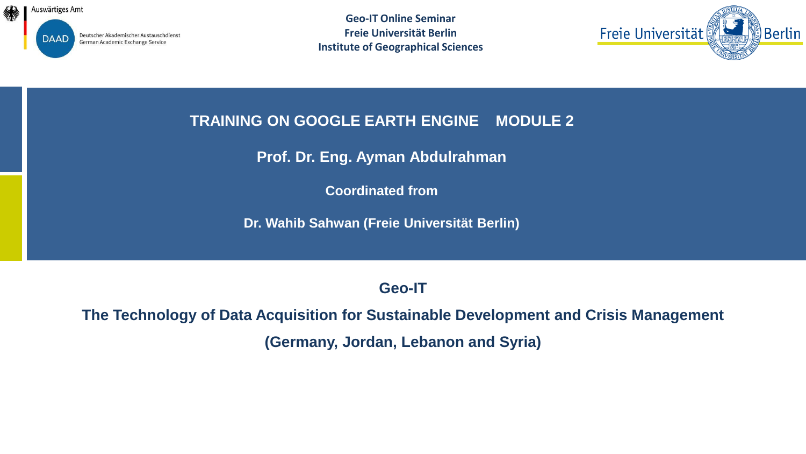

**Geo-IT Online Seminar Freie Universität Berlin Institute of Geographical Sciences**



### **TRAINING ON GOOGLE EARTH ENGINE MODULE 2**

**Prof. Dr. Eng. Ayman Abdulrahman**

**Coordinated from**

**Dr. Wahib Sahwan (Freie Universität Berlin)** 

**Geo-IT**

**The Technology of Data Acquisition for Sustainable Development and Crisis Management (Germany, Jordan, Lebanon and Syria)**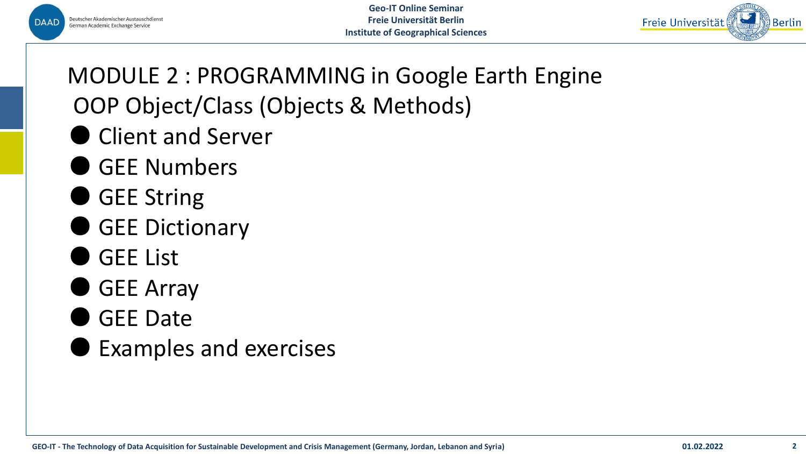



MODULE 2 : PROGRAMMING in Google Earth Engine OOP Object/Class (Objects & Methods)

- Client and Server
- GEE Numbers
- GEE String
- GEE Dictionary
- GEE List
- GEE Array
- GEE Date
- **Examples and exercises**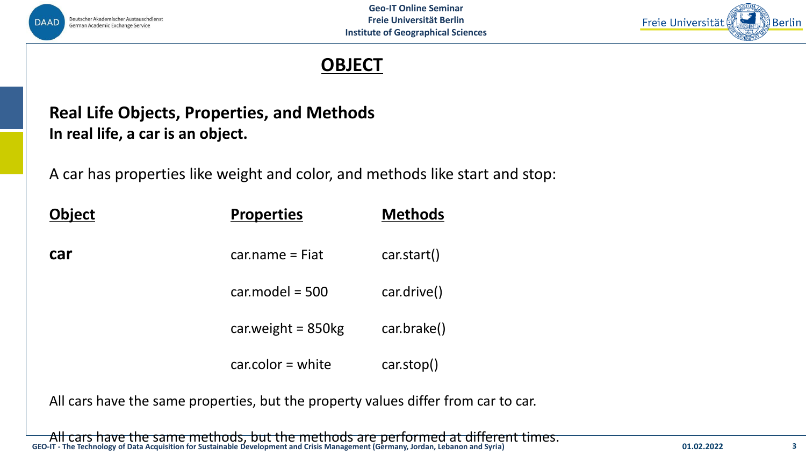



### **OBJECT**

## **Real Life Objects, Properties, and Methods In real life, a car is an object.**

A car has properties like weight and color, and methods like start and stop:

| <b>Object</b> | <b>Properties</b>    | <b>Methods</b> |
|---------------|----------------------|----------------|
| car           | $car.name = Fiat$    | car.start()    |
|               | $car_model = 500$    | car.drive()    |
|               | car.weight = $850kg$ | car.brake()    |
|               | $carcolor = white$   | carstop()      |

All cars have the same properties, but the property values differ from car to car.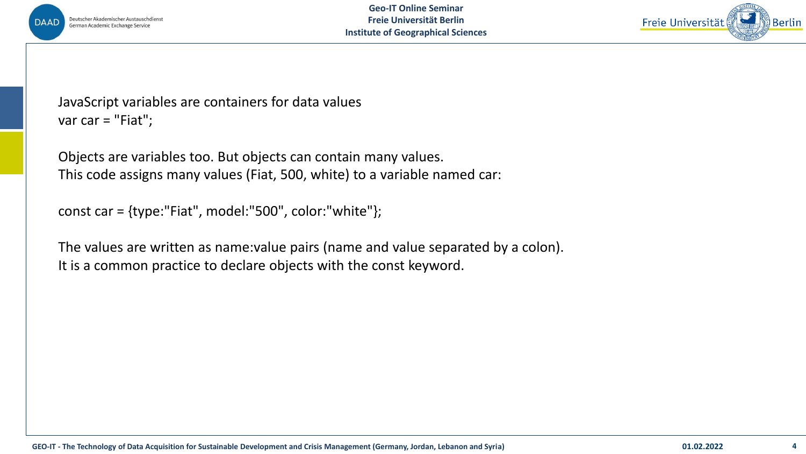



JavaScript variables are containers for data values var car = "Fiat";

Objects are variables too. But objects can contain many values. This code assigns many values (Fiat, 500, white) to a variable named car:

```
const car = {type:"Fiat", model:"500", color:"white"};
```
The values are written as name:value pairs (name and value separated by a colon). It is a common practice to declare objects with the const keyword.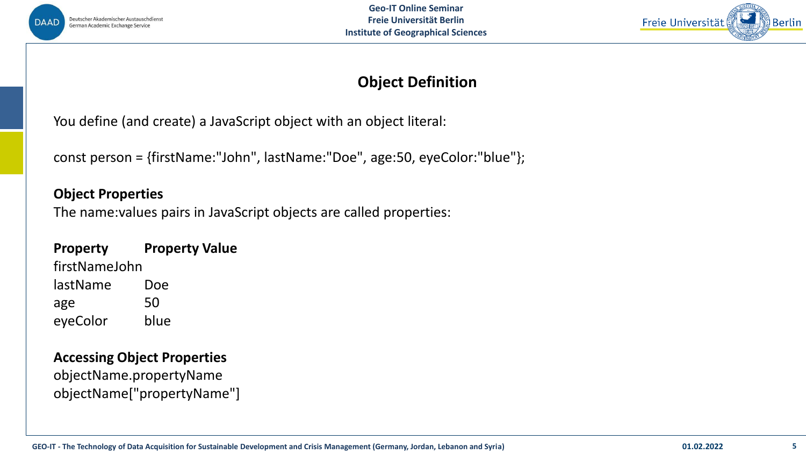



### **Object Definition**

You define (and create) a JavaScript object with an object literal:

const person = {firstName:"John", lastName:"Doe", age:50, eyeColor:"blue"};

#### **Object Properties**

The name:values pairs in JavaScript objects are called properties:

#### **Property Property Value**

firstNameJohn lastName Doe age 50 eyeColor blue

#### **Accessing Object Properties**

objectName.propertyName objectName["propertyName"]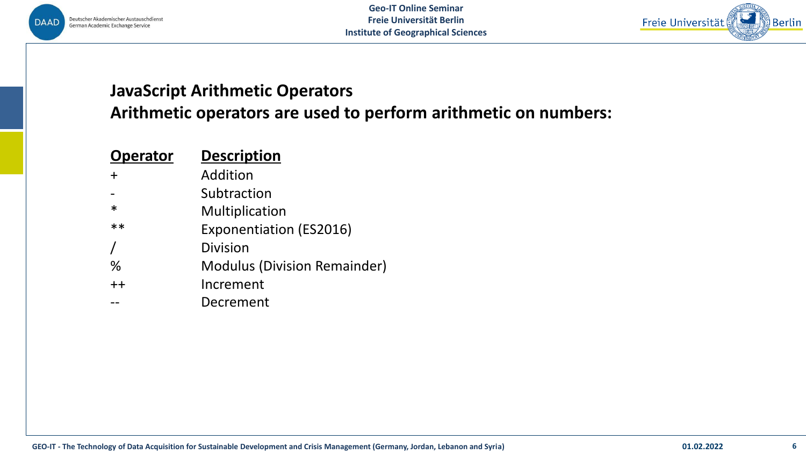



## **JavaScript Arithmetic Operators**

**Arithmetic operators are used to perform arithmetic on numbers:**

| <b>Operator</b> | <b>Description</b>                  |
|-----------------|-------------------------------------|
|                 | Addition                            |
|                 | Subtraction                         |
| $\ast$          | Multiplication                      |
| $**$            | <b>Exponentiation (ES2016)</b>      |
|                 | Division                            |
| %               | <b>Modulus (Division Remainder)</b> |
| $++$            | Increment                           |
|                 | Decrement                           |
|                 |                                     |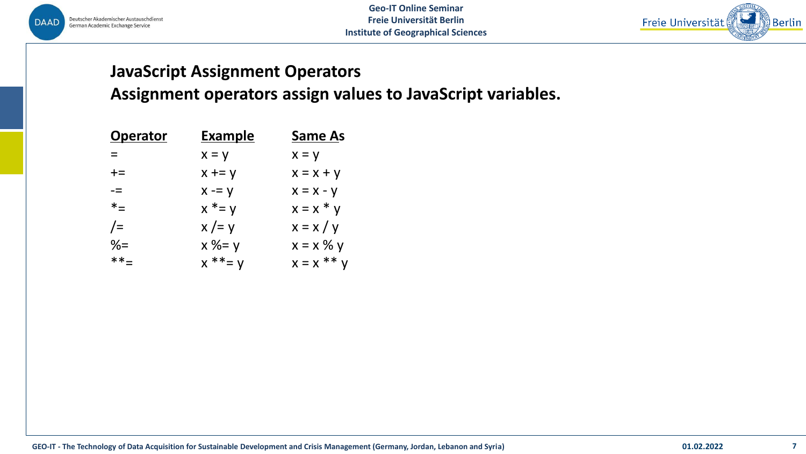



## **JavaScript Assignment Operators Assignment operators assign values to JavaScript variables.**

| <b>Operator</b> | <u>Example</u> | <b>Same As</b> |
|-----------------|----------------|----------------|
| $=$             | $x = y$        | $x = y$        |
| $+=$            | $x == y$       | $x = x + y$    |
| -=              | $x = y$        | $x = x - y$    |
| $*_{=}$         | $x^* = y$      | $x = x * y$    |
| $/=\$           | $x = y$        | $x = x / y$    |
| $\frac{9}{6}$   | $x % = y$      | $x = x \% y$   |
| $***=$          | $x * * = y$    | $x = x$ ** y   |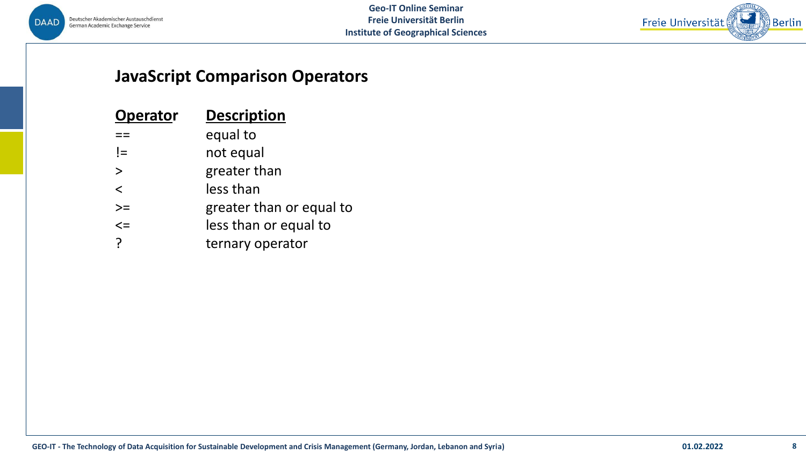



### **JavaScript Comparison Operators**

| <b>Operator</b> | <b>Description</b>       |
|-----------------|--------------------------|
|                 | equal to                 |
| $I =$           | not equal                |
| $\geq$          | greater than             |
| $\lt$           | less than                |
| $>=$            | greater than or equal to |
| $\leq$          | less than or equal to    |
| ?               | ternary operator         |
|                 |                          |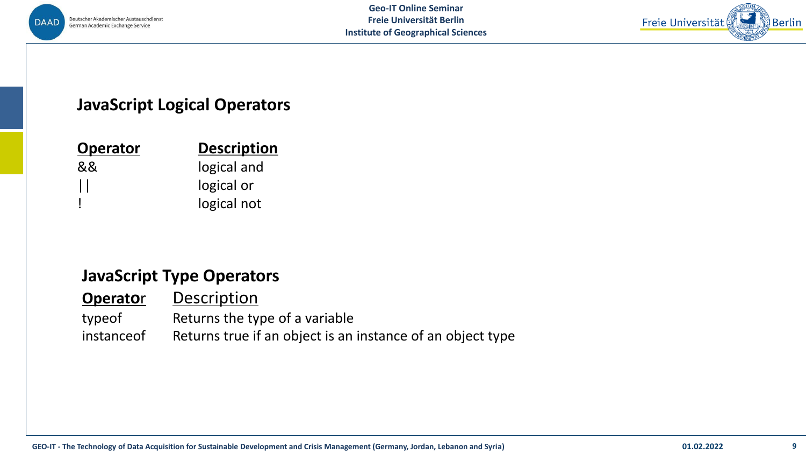



### **JavaScript Logical Operators**

| <b>Operator</b> | <b>Description</b> |
|-----------------|--------------------|
| &&              | logical and        |
| $\mathbf{1}$    | logical or         |
|                 | logical not        |

### **JavaScript Type Operators**

| <b>Operator</b> | Description                                                |
|-----------------|------------------------------------------------------------|
| typeof          | Returns the type of a variable                             |
| instance of     | Returns true if an object is an instance of an object type |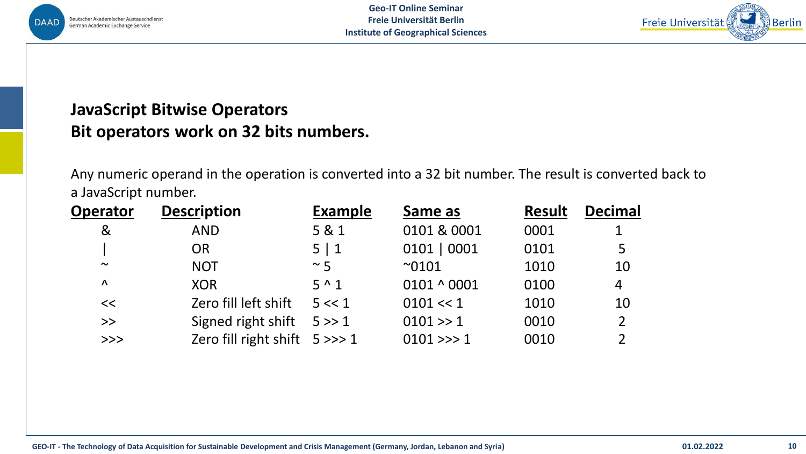



## **JavaScript Bitwise Operators Bit operators work on 32 bits numbers.**

Any numeric operand in the operation is converted into a 32 bit number. The result is converted back to a JavaScript number.

| <b>Operator</b>                                    | <b>Description</b>              | <b>Example</b> | Same as           | <b>Result</b> | <b>Decimal</b> |
|----------------------------------------------------|---------------------------------|----------------|-------------------|---------------|----------------|
| &                                                  | <b>AND</b>                      | 5 & 1          | 0101 & 0001       | 0001          | 1              |
|                                                    | <b>OR</b>                       | 5 1            | 0101   0001       | 0101          | 5              |
| $\sim$                                             | <b>NOT</b>                      | $~\sim 5$      | $^{\sim}0101$     | 1010          | 10             |
| $\Lambda$                                          | <b>XOR</b>                      | $5^{\wedge}1$  | $0101 \land 0001$ | 0100          | 4              |
| <<                                                 | Zero fill left shift            | 5 < 1          | $0101 \ll 1$      | 1010          | 10             |
| >>                                                 | Signed right shift              | 5 > > 1        | 0101 >> 1         | 0010          | $\overline{2}$ |
| $\boldsymbol{\gt}\boldsymbol{\gt}\boldsymbol{\gt}$ | Zero fill right shift $5 \gg>1$ |                | $0101 \gg 1$      | 0010          |                |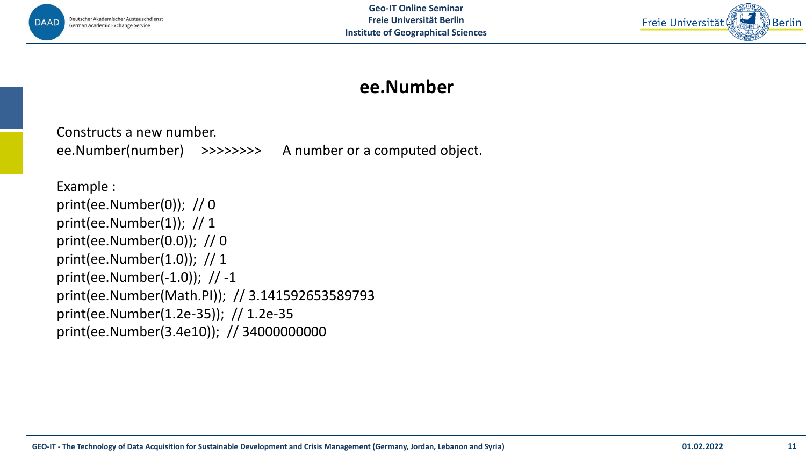



## **ee.Number**

Constructs a new number. ee.Number(number) >>>>>>>> A number or a computed object.

Example : print(ee.Number(0)); // 0 print(ee.Number(1)); // 1 print(ee.Number(0.0)); // 0 print(ee.Number(1.0)); // 1 print(ee.Number(-1.0)); // -1 print(ee.Number(Math.PI)); // 3.141592653589793 print(ee.Number(1.2e-35)); // 1.2e-35 print(ee.Number(3.4e10)); // 34000000000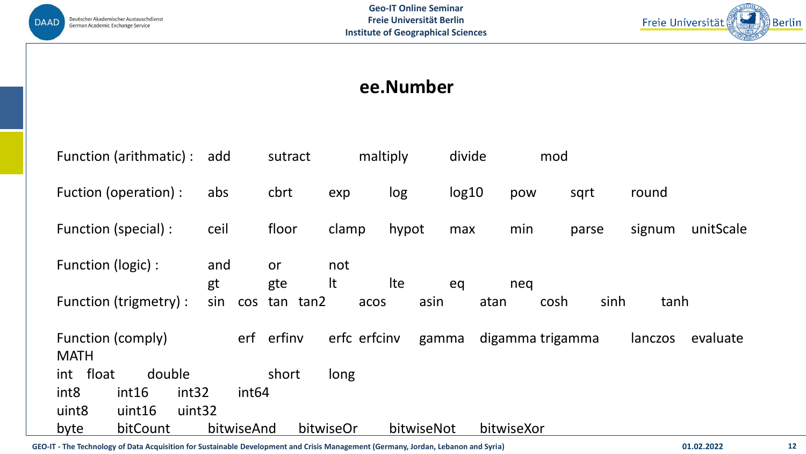



## **ee.Number**

| Function (arithmatic) :                        | add               | sutract   |              | maltiply | divide | mod              |       |         |           |
|------------------------------------------------|-------------------|-----------|--------------|----------|--------|------------------|-------|---------|-----------|
| Fuction (operation) :                          | abs               | cbrt      | exp          | log      | log10  | pow              | sqrt  | round   |           |
| Function (special) :                           | ceil              | floor     | clamp        | hypot    | max    | min              | parse | signum  | unitScale |
| Function (logic) :                             | and<br>gt         | or<br>gte | not<br>It    | Ite      | eq     | neg              |       |         |           |
| Function (trigmetry) :                         | sin<br><b>COS</b> | tan tan2  | acos         | asin     | atan   | cosh             | sinh  | tanh    |           |
| Function (comply)<br><b>MATH</b>               | erf               | erfiny    | erfc erfcinv | gamma    |        | digamma trigamma |       | lanczos | evaluate  |
| int float<br>double                            |                   | short     | long         |          |        |                  |       |         |           |
| int <sub>8</sub><br>int <sub>32</sub><br>int16 | int <sub>64</sub> |           |              |          |        |                  |       |         |           |
|                                                |                   |           |              |          |        |                  |       |         |           |
| uint <sub>8</sub><br>uint32<br>uint16          |                   |           |              |          |        |                  |       |         |           |

**GEO-IT - The Technology of Data Acquisition for Sustainable Development and Crisis Management (Germany, Jordan, Lebanon and Syria) 01.02.2022 12**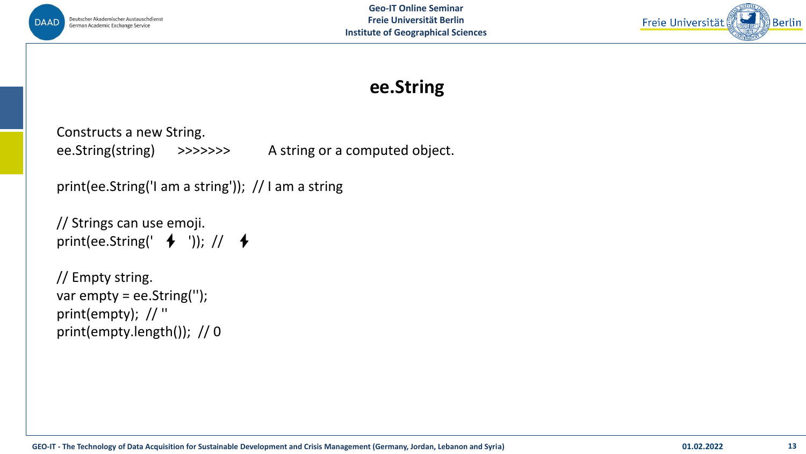



## **ee.String**

Constructs a new String. ee.String(string) >>>>>>> A string or a computed object.

```
print(ee.String('I am a string')); // I am a string
```

```
// Strings can use emoji.
print(ee.String(' \blacklozenge ')); // \blacklozenge
```

```
// Empty string.
var empty = ee.String('');
print(empty); // ''
print(empty.length()); // 0
```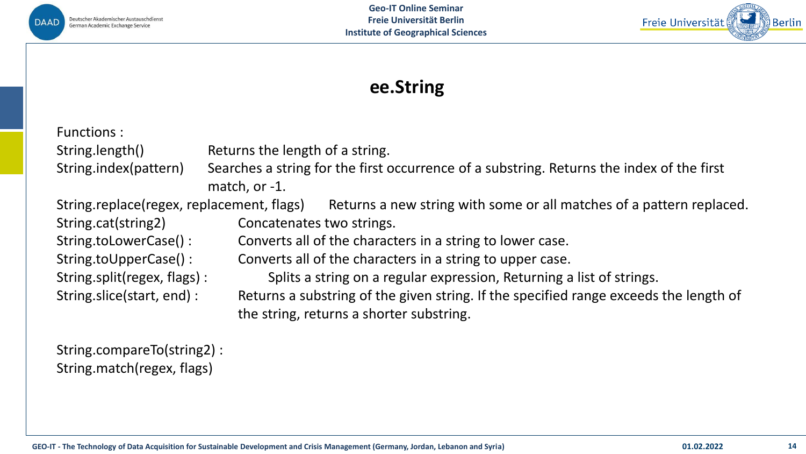



# **ee.String**

| Functions:                                |                                                                                                                                   |
|-------------------------------------------|-----------------------------------------------------------------------------------------------------------------------------------|
| String.length()                           | Returns the length of a string.                                                                                                   |
| String.index(pattern)                     | Searches a string for the first occurrence of a substring. Returns the index of the first<br>match, or -1.                        |
| String.replace(regex, replacement, flags) | Returns a new string with some or all matches of a pattern replaced.                                                              |
| String.cat(string2)                       | Concatenates two strings.                                                                                                         |
| String.toLowerCase():                     | Converts all of the characters in a string to lower case.                                                                         |
| String.toUpperCase():                     | Converts all of the characters in a string to upper case.                                                                         |
| String.split(regex, flags):               | Splits a string on a regular expression, Returning a list of strings.                                                             |
| String.slice(start, end):                 | Returns a substring of the given string. If the specified range exceeds the length of<br>the string, returns a shorter substring. |

String.compareTo(string2) : String.match(regex, flags)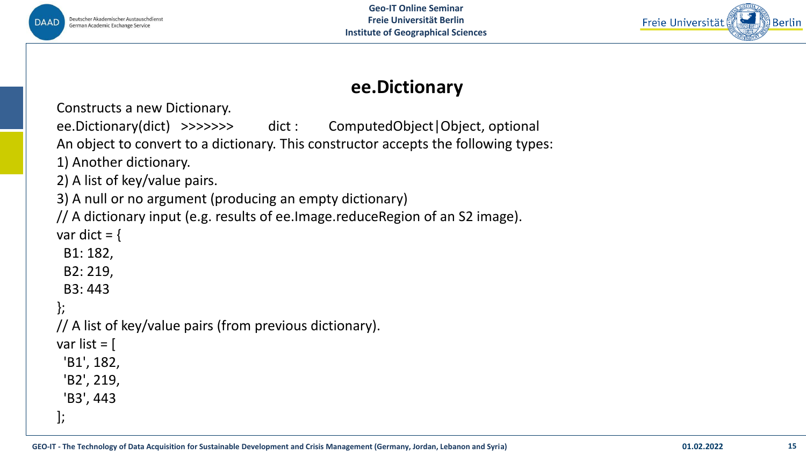



## **ee.Dictionary**

Constructs a new Dictionary.

```
ee.Dictionary(dict) >>>>>>> dict : ComputedObject|Object, optional
```
An object to convert to a dictionary. This constructor accepts the following types:

1) Another dictionary.

2) A list of key/value pairs.

3) A null or no argument (producing an empty dictionary)

// A dictionary input (e.g. results of ee.Image.reduceRegion of an S2 image).

var dict  $=$  {

B1: 182,

B2: 219,

B3: 443

#### };

// A list of key/value pairs (from previous dictionary).

var list  $=$  [

'B1', 182,

'B2', 219,

'B3', 443

];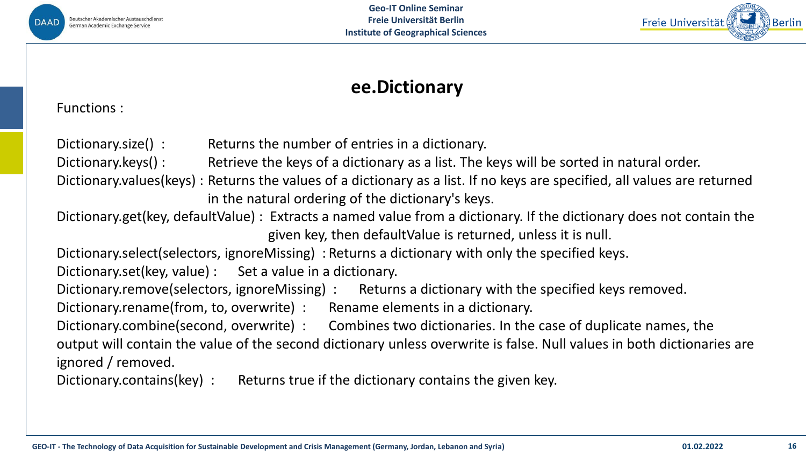



## **ee.Dictionary**

Functions :

| Dictionary.size():                           | Returns the number of entries in a dictionary.                                                                                                                                |
|----------------------------------------------|-------------------------------------------------------------------------------------------------------------------------------------------------------------------------------|
| Dictionary.keys():                           | Retrieve the keys of a dictionary as a list. The keys will be sorted in natural order.                                                                                        |
|                                              | Dictionary.values(keys): Returns the values of a dictionary as a list. If no keys are specified, all values are returned<br>in the natural ordering of the dictionary's keys. |
|                                              |                                                                                                                                                                               |
|                                              | Dictionary.get(key, defaultValue): Extracts a named value from a dictionary. If the dictionary does not contain the                                                           |
|                                              | given key, then defaultValue is returned, unless it is null.                                                                                                                  |
|                                              | Dictionary.select(selectors, ignoreMissing): Returns a dictionary with only the specified keys.                                                                               |
|                                              | Dictionary.set(key, value) : Set a value in a dictionary.                                                                                                                     |
| Dictionary.remove(selectors, ignoreMissing): | Returns a dictionary with the specified keys removed.                                                                                                                         |
| Dictionary.rename(from, to, overwrite) :     | Rename elements in a dictionary.                                                                                                                                              |
| Dictionary.combine(second, overwrite):       | Combines two dictionaries. In the case of duplicate names, the                                                                                                                |
|                                              | output will contain the value of the second dictionary unless overwrite is false. Null values in both dictionaries are                                                        |
| ignored / removed.                           |                                                                                                                                                                               |
| Dictionary.contains(key):                    | Returns true if the dictionary contains the given key.                                                                                                                        |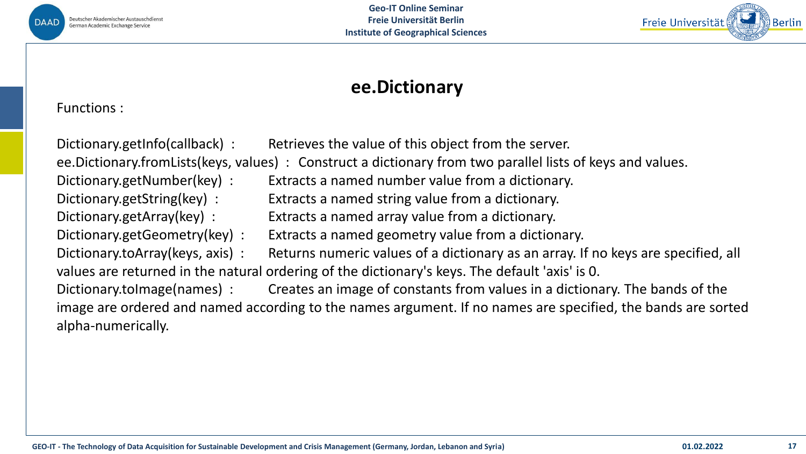



## **ee.Dictionary**

Functions :

Dictionary.getInfo(callback) : Retrieves the value of this object from the server. ee.Dictionary.fromLists(keys, values) : Construct a dictionary from two parallel lists of keys and values. Dictionary.getNumber(key) : Extracts a named number value from a dictionary. Dictionary.getString(key) : Extracts a named string value from a dictionary. Dictionary.getArray(key) : Extracts a named array value from a dictionary. Dictionary.getGeometry(key) : Extracts a named geometry value from a dictionary. Dictionary.toArray(keys, axis) : Returns numeric values of a dictionary as an array. If no keys are specified, all values are returned in the natural ordering of the dictionary's keys. The default 'axis' is 0. Dictionary.toImage(names) : Creates an image of constants from values in a dictionary. The bands of the image are ordered and named according to the names argument. If no names are specified, the bands are sorted alpha-numerically.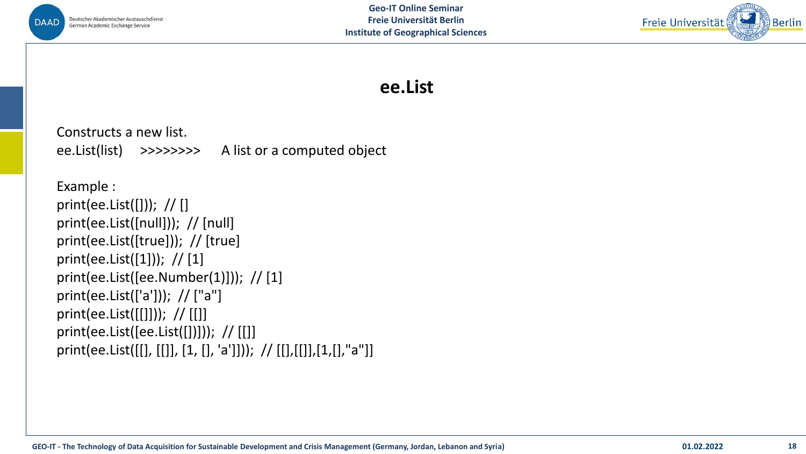



## **ee.List**

Constructs a new list. ee.List(list) >>>>>>>> A list or a computed object

Example : print(ee.List([])); // [] print(ee.List([null])); // [null] print(ee.List([true])); // [true] print(ee.List([1]));  $// [1]$ print(ee.List([ee.Number(1)])); // [1] print(ee.List(['a'])); // ["a"] print(ee.List([[]])); // [[]] print(ee.List([ee.List([])])); // [[]] print(ee.List([[], [[]], [1, [], 'a']])); // [[],[[]],[1,[],"a"]]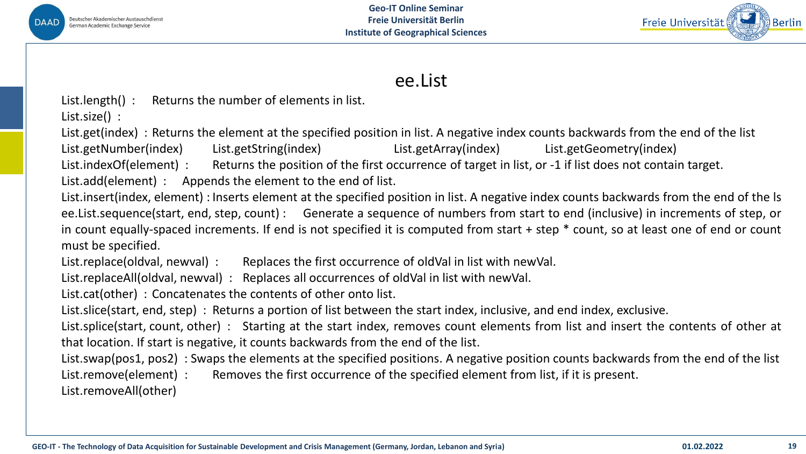



### ee.List

List.length() : Returns the number of elements in list.

List.size() :

List.get(index) : Returns the element at the specified position in list. A negative index counts backwards from the end of the list

List.getNumber(index) List.getString(index) List.getArray(index) List.getGeometry(index)

List.indexOf(element): Returns the position of the first occurrence of target in list, or -1 if list does not contain target.

List.add(element) : Appends the element to the end of list.

List.insert(index, element) : Inserts element at the specified position in list. A negative index counts backwards from the end of the ls ee.List.sequence(start, end, step, count) : Generate a sequence of numbers from start to end (inclusive) in increments of step, or in count equally-spaced increments. If end is not specified it is computed from start + step \* count, so at least one of end or count must be specified.

List.replace(oldval, newval) : Replaces the first occurrence of oldVal in list with newVal.

List.replaceAll(oldval, newval) : Replaces all occurrences of oldVal in list with newVal.

List.cat(other) : Concatenates the contents of other onto list.

List.slice(start, end, step) : Returns a portion of list between the start index, inclusive, and end index, exclusive.

List.splice(start, count, other) : Starting at the start index, removes count elements from list and insert the contents of other at that location. If start is negative, it counts backwards from the end of the list.

List.swap(pos1, pos2) : Swaps the elements at the specified positions. A negative position counts backwards from the end of the list

List.remove(element) : Removes the first occurrence of the specified element from list, if it is present.

List.removeAll(other)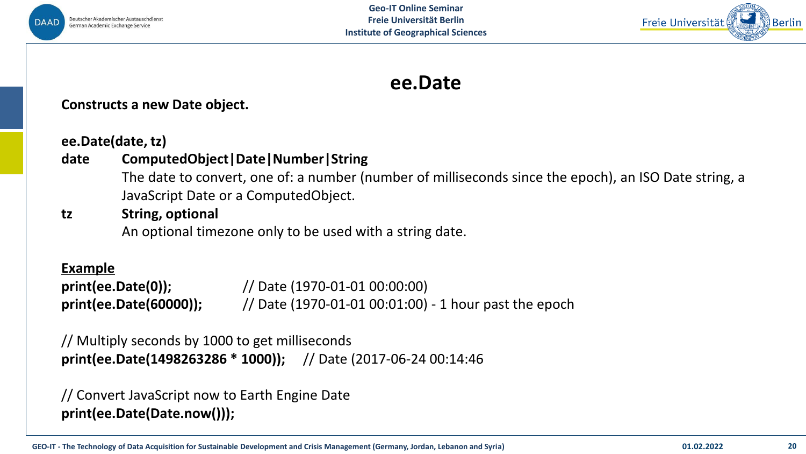



# **ee.Date**

#### **Constructs a new Date object.**

**ee.Date(date, tz)**

#### **date ComputedObject|Date|Number|String**

The date to convert, one of: a number (number of milliseconds since the epoch), an ISO Date string, a JavaScript Date or a ComputedObject.

#### **tz String, optional**

An optional timezone only to be used with a string date.

#### **Example**

**print(ee.Date(0));** // Date (1970-01-01 00:00:00) **print(ee.Date(60000));** // Date (1970-01-01 00:01:00) - 1 hour past the epoch

// Multiply seconds by 1000 to get milliseconds **print(ee.Date(1498263286 \* 1000));** // Date (2017-06-24 00:14:46

// Convert JavaScript now to Earth Engine Date **print(ee.Date(Date.now()));**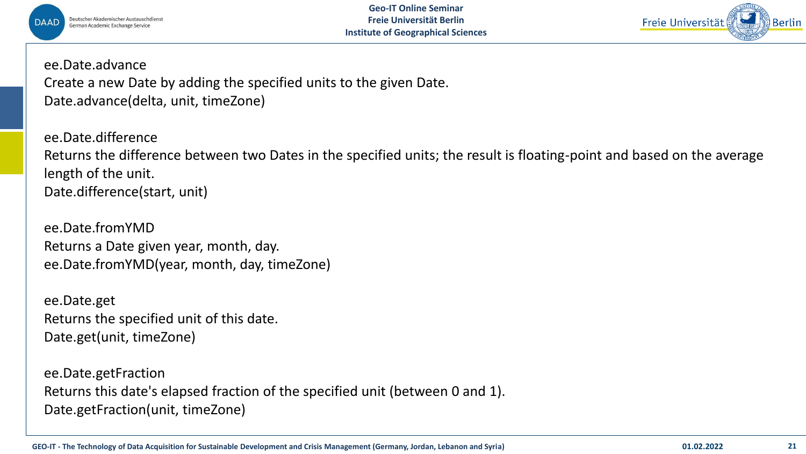



ee.Date.advance

Create a new Date by adding the specified units to the given Date. Date.advance(delta, unit, timeZone)

ee.Date.difference Returns the difference between two Dates in the specified units; the result is floating-point and based on the average length of the unit. Date.difference(start, unit)

ee.Date.fromYMD Returns a Date given year, month, day. ee.Date.fromYMD(year, month, day, timeZone)

ee.Date.get Returns the specified unit of this date. Date.get(unit, timeZone)

ee.Date.getFraction Returns this date's elapsed fraction of the specified unit (between 0 and 1). Date.getFraction(unit, timeZone)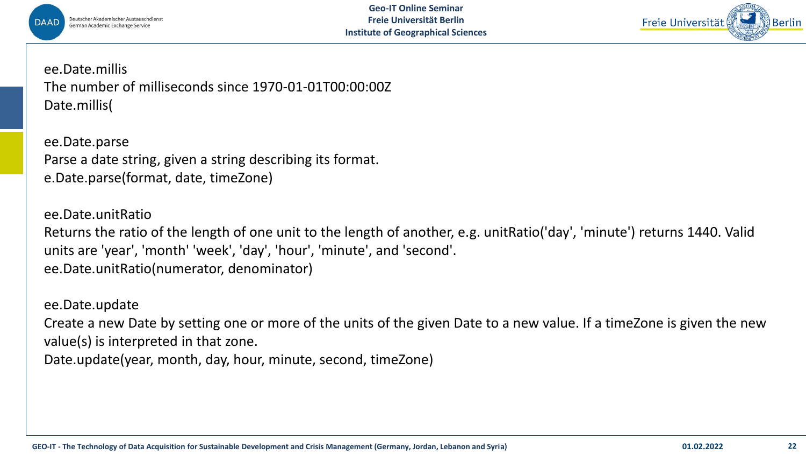



ee.Date.millis The number of milliseconds since 1970-01-01T00:00:00Z Date.millis(

ee.Date.parse Parse a date string, given a string describing its format. e.Date.parse(format, date, timeZone)

ee.Date.unitRatio Returns the ratio of the length of one unit to the length of another, e.g. unitRatio('day', 'minute') returns 1440. Valid units are 'year', 'month' 'week', 'day', 'hour', 'minute', and 'second'. ee.Date.unitRatio(numerator, denominator)

ee.Date.update

Create a new Date by setting one or more of the units of the given Date to a new value. If a timeZone is given the new value(s) is interpreted in that zone.

Date.update(year, month, day, hour, minute, second, timeZone)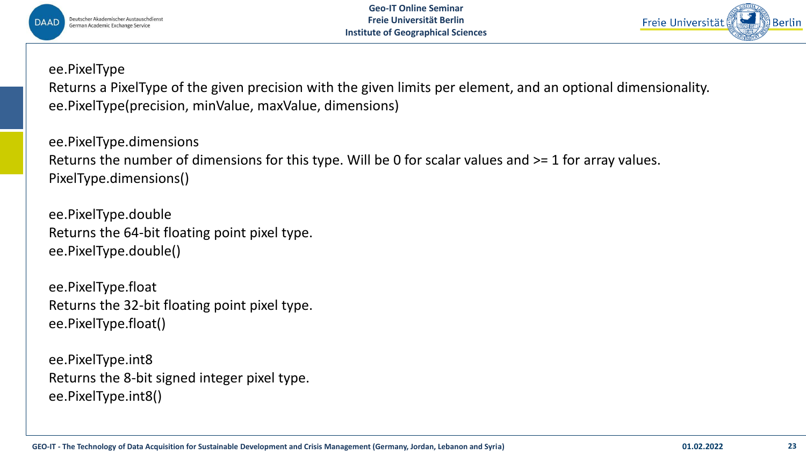



#### ee.PixelType

Returns a PixelType of the given precision with the given limits per element, and an optional dimensionality. ee.PixelType(precision, minValue, maxValue, dimensions)

ee.PixelType.dimensions Returns the number of dimensions for this type. Will be 0 for scalar values and >= 1 for array values. PixelType.dimensions()

ee.PixelType.double Returns the 64-bit floating point pixel type. ee.PixelType.double()

ee.PixelType.float Returns the 32-bit floating point pixel type. ee.PixelType.float()

ee.PixelType.int8 Returns the 8-bit signed integer pixel type. ee.PixelType.int8()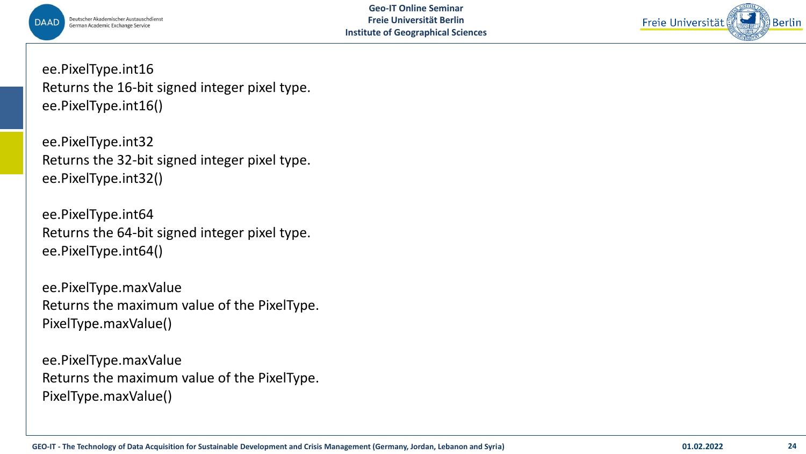



ee.PixelType.int16 Returns the 16-bit signed integer pixel type. ee.PixelType.int16()

ee.PixelType.int32 Returns the 32-bit signed integer pixel type. ee.PixelType.int32()

ee.PixelType.int64 Returns the 64-bit signed integer pixel type. ee.PixelType.int64()

ee.PixelType.maxValue Returns the maximum value of the PixelType. PixelType.maxValue()

ee.PixelType.maxValue Returns the maximum value of the PixelType. PixelType.maxValue()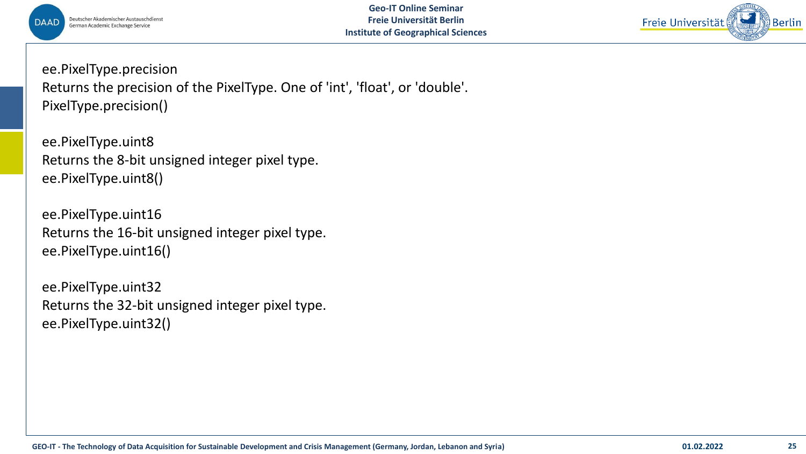



ee.PixelType.precision Returns the precision of the PixelType. One of 'int', 'float', or 'double'. PixelType.precision()

ee.PixelType.uint8 Returns the 8-bit unsigned integer pixel type. ee.PixelType.uint8()

ee.PixelType.uint16 Returns the 16-bit unsigned integer pixel type. ee.PixelType.uint16()

ee.PixelType.uint32 Returns the 32-bit unsigned integer pixel type. ee.PixelType.uint32()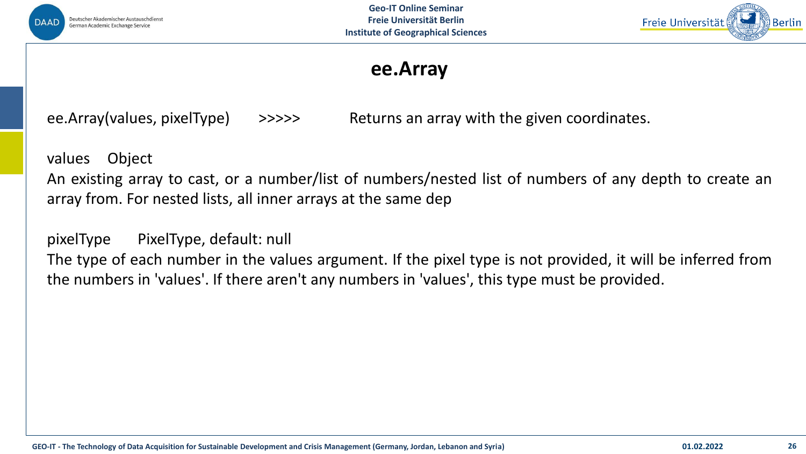



## **ee.Array**

ee.Array(values, pixelType) >>>>>> Returns an array with the given coordinates.

values Object

An existing array to cast, or a number/list of numbers/nested list of numbers of any depth to create an array from. For nested lists, all inner arrays at the same dep

pixelType PixelType, default: null

The type of each number in the values argument. If the pixel type is not provided, it will be inferred from the numbers in 'values'. If there aren't any numbers in 'values', this type must be provided.